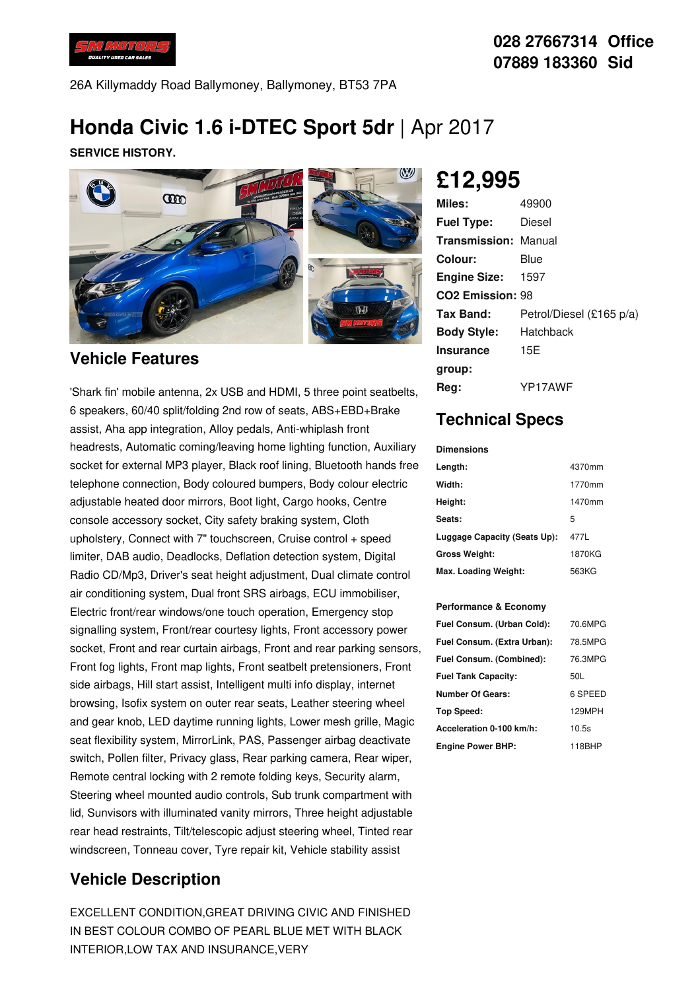

26A Killymaddy Road Ballymoney, Ballymoney, BT53 7PA

# **Honda Civic 1.6 i-DTEC Sport 5dr** | Apr 2017

**SERVICE HISTORY.**



#### **Vehicle Features**

'Shark fin' mobile antenna, 2x USB and HDMI, 5 three point seatbelts, 6 speakers, 60/40 split/folding 2nd row of seats, ABS+EBD+Brake assist, Aha app integration, Alloy pedals, Anti-whiplash front headrests, Automatic coming/leaving home lighting function, Auxiliary socket for external MP3 player, Black roof lining, Bluetooth hands free telephone connection, Body coloured bumpers, Body colour electric adjustable heated door mirrors, Boot light, Cargo hooks, Centre console accessory socket, City safety braking system, Cloth upholstery, Connect with 7" touchscreen, Cruise control + speed limiter, DAB audio, Deadlocks, Deflation detection system, Digital Radio CD/Mp3, Driver's seat height adjustment, Dual climate control air conditioning system, Dual front SRS airbags, ECU immobiliser, Electric front/rear windows/one touch operation, Emergency stop signalling system, Front/rear courtesy lights, Front accessory power socket, Front and rear curtain airbags, Front and rear parking sensors, Front fog lights, Front map lights, Front seatbelt pretensioners, Front side airbags, Hill start assist, Intelligent multi info display, internet browsing, Isofix system on outer rear seats, Leather steering wheel and gear knob, LED daytime running lights, Lower mesh grille, Magic seat flexibility system, MirrorLink, PAS, Passenger airbag deactivate switch, Pollen filter, Privacy glass, Rear parking camera, Rear wiper, Remote central locking with 2 remote folding keys, Security alarm, Steering wheel mounted audio controls, Sub trunk compartment with lid, Sunvisors with illuminated vanity mirrors, Three height adjustable rear head restraints, Tilt/telescopic adjust steering wheel, Tinted rear windscreen, Tonneau cover, Tyre repair kit, Vehicle stability assist

### **Vehicle Description**

EXCELLENT CONDITION,GREAT DRIVING CIVIC AND FINISHED IN BEST COLOUR COMBO OF PEARL BLUE MET WITH BLACK INTERIOR,LOW TAX AND INSURANCE,VERY

**£12,995**

| Miles:                      | 49900                    |
|-----------------------------|--------------------------|
| <b>Fuel Type:</b>           | Diesel                   |
| <b>Transmission: Manual</b> |                          |
| Colour:                     | Blue                     |
| <b>Engine Size:</b>         | 1597                     |
| <b>CO2 Emission: 98</b>     |                          |
| <b>Tax Band:</b>            | Petrol/Diesel (£165 p/a) |
| <b>Body Style:</b>          | Hatchback                |
| <b>Insurance</b>            | 15E                      |
| group:                      |                          |
| Rea:                        | YP17AWF                  |

## **Technical Specs**

| <b>Dimensions</b>            |        |  |
|------------------------------|--------|--|
| Length:                      | 4370mm |  |
| Width:                       | 1770mm |  |
| Height:                      | 1470mm |  |
| Seats:                       | 5      |  |
| Luggage Capacity (Seats Up): | 477L   |  |
| <b>Gross Weight:</b>         | 1870KG |  |
| Max. Loading Weight:         | 563KG  |  |

#### **Performance & Economy**

| Fuel Consum. (Urban Cold):  | 70.6MPG |
|-----------------------------|---------|
| Fuel Consum. (Extra Urban): | 78.5MPG |
| Fuel Consum. (Combined):    | 76.3MPG |
| <b>Fuel Tank Capacity:</b>  | 50L     |
| <b>Number Of Gears:</b>     | 6 SPEED |
| <b>Top Speed:</b>           | 129MPH  |
| Acceleration 0-100 km/h:    | 10.5s   |
| <b>Engine Power BHP:</b>    | 118BHP  |